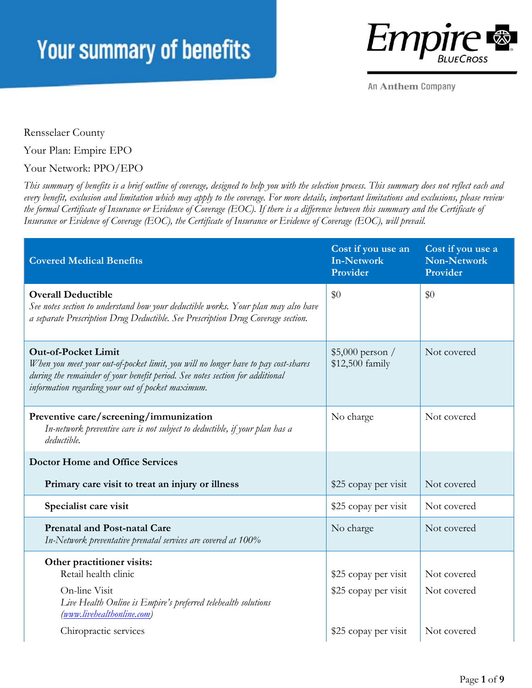

An Anthem Company

Rensselaer County

Your Plan: Empire EPO

### Your Network: PPO/EPO

*This summary of benefits is a brief outline of coverage, designed to help you with the selection process. This summary does not reflect each and every benefit, exclusion and limitation which may apply to the coverage. For more details, important limitations and exclusions, please review the formal Certificate of Insurance or Evidence of Coverage (EOC). If there is a difference between this summary and the Certificate of Insurance or Evidence of Coverage (EOC), the Certificate of Insurance or Evidence of Coverage (EOC), will prevail.* 

| <b>Covered Medical Benefits</b>                                                                                                                                                                                                                        | Cost if you use an<br><b>In-Network</b><br>Provider | Cost if you use a<br><b>Non-Network</b><br>Provider |
|--------------------------------------------------------------------------------------------------------------------------------------------------------------------------------------------------------------------------------------------------------|-----------------------------------------------------|-----------------------------------------------------|
| <b>Overall Deductible</b><br>See notes section to understand how your deductible works. Your plan may also have<br>a separate Prescription Drug Deductible. See Prescription Drug Coverage section.                                                    | \$0                                                 | \$0                                                 |
| <b>Out-of-Pocket Limit</b><br>When you meet your out-of-pocket limit, you will no longer have to pay cost-shares<br>during the remainder of your benefit period. See notes section for additional<br>information regarding your out of pocket maximum. | $$5,000$ person /<br>\$12,500 family                | Not covered                                         |
| Preventive care/screening/immunization<br>In-network preventive care is not subject to deductible, if your plan has a<br>deductible.                                                                                                                   | No charge                                           | Not covered                                         |
| <b>Doctor Home and Office Services</b>                                                                                                                                                                                                                 |                                                     |                                                     |
| Primary care visit to treat an injury or illness                                                                                                                                                                                                       | \$25 copay per visit                                | Not covered                                         |
| Specialist care visit                                                                                                                                                                                                                                  | \$25 copay per visit                                | Not covered                                         |
| <b>Prenatal and Post-natal Care</b><br>In-Network preventative prenatal services are covered at 100%                                                                                                                                                   | No charge                                           | Not covered                                         |
| Other practitioner visits:<br>Retail health clinic                                                                                                                                                                                                     | \$25 copay per visit                                | Not covered                                         |
| On-line Visit<br>Live Health Online is Empire's preferred telehealth solutions<br>(www.livehealthonline.com)                                                                                                                                           | \$25 copay per visit                                | Not covered                                         |
| Chiropractic services                                                                                                                                                                                                                                  | \$25 copay per visit                                | Not covered                                         |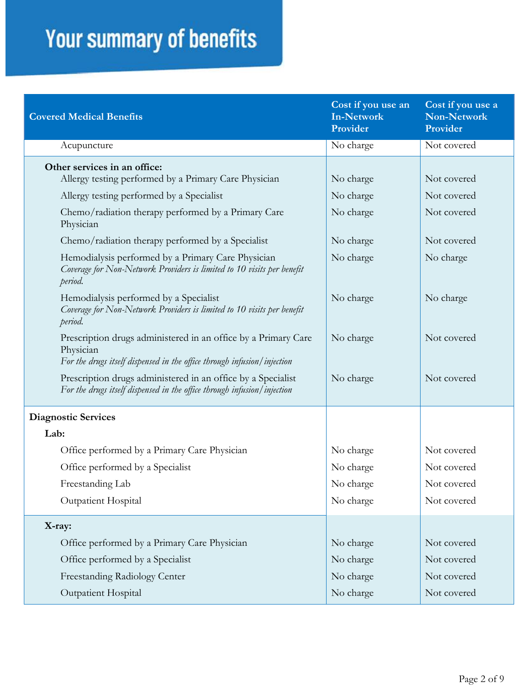| <b>Covered Medical Benefits</b>                                                                                                                        | Cost if you use an<br><b>In-Network</b><br>Provider | Cost if you use a<br><b>Non-Network</b><br>Provider |
|--------------------------------------------------------------------------------------------------------------------------------------------------------|-----------------------------------------------------|-----------------------------------------------------|
| Acupuncture                                                                                                                                            | No charge                                           | Not covered                                         |
| Other services in an office:                                                                                                                           |                                                     |                                                     |
| Allergy testing performed by a Primary Care Physician                                                                                                  | No charge                                           | Not covered                                         |
| Allergy testing performed by a Specialist                                                                                                              | No charge                                           | Not covered                                         |
| Chemo/radiation therapy performed by a Primary Care<br>Physician                                                                                       | No charge                                           | Not covered                                         |
| Chemo/radiation therapy performed by a Specialist                                                                                                      | No charge                                           | Not covered                                         |
| Hemodialysis performed by a Primary Care Physician<br>Coverage for Non-Network Providers is limited to 10 visits per benefit<br>period.                | No charge                                           | No charge                                           |
| Hemodialysis performed by a Specialist<br>Coverage for Non-Network Providers is limited to 10 visits per benefit<br>period.                            | No charge                                           | No charge                                           |
| Prescription drugs administered in an office by a Primary Care<br>Physician<br>For the drugs itself dispensed in the office through infusion/injection | No charge                                           | Not covered                                         |
| Prescription drugs administered in an office by a Specialist<br>For the drugs itself dispensed in the office through infusion/injection                | No charge                                           | Not covered                                         |
| <b>Diagnostic Services</b>                                                                                                                             |                                                     |                                                     |
| Lab:                                                                                                                                                   |                                                     |                                                     |
| Office performed by a Primary Care Physician                                                                                                           | No charge                                           | Not covered                                         |
| Office performed by a Specialist                                                                                                                       | No charge                                           | Not covered                                         |
| Freestanding Lab                                                                                                                                       | No charge                                           | Not covered                                         |
| Outpatient Hospital                                                                                                                                    | No charge                                           | Not covered                                         |
| X-ray:                                                                                                                                                 |                                                     |                                                     |
| Office performed by a Primary Care Physician                                                                                                           | No charge                                           | Not covered                                         |
| Office performed by a Specialist                                                                                                                       | No charge                                           | Not covered                                         |
| Freestanding Radiology Center                                                                                                                          | No charge                                           | Not covered                                         |
| Outpatient Hospital                                                                                                                                    | No charge                                           | Not covered                                         |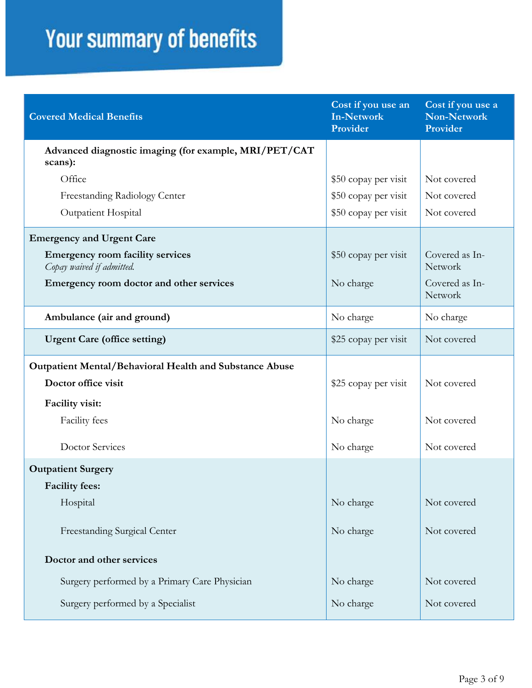| <b>Covered Medical Benefits</b>                                      | Cost if you use an<br><b>In-Network</b><br>Provider | Cost if you use a<br><b>Non-Network</b><br>Provider |
|----------------------------------------------------------------------|-----------------------------------------------------|-----------------------------------------------------|
| Advanced diagnostic imaging (for example, MRI/PET/CAT<br>scans):     |                                                     |                                                     |
| Office                                                               | \$50 copay per visit                                | Not covered                                         |
| Freestanding Radiology Center                                        | \$50 copay per visit                                | Not covered                                         |
| Outpatient Hospital                                                  | \$50 copay per visit                                | Not covered                                         |
| <b>Emergency and Urgent Care</b>                                     |                                                     |                                                     |
| <b>Emergency room facility services</b><br>Copay waived if admitted. | \$50 copay per visit                                | Covered as In-<br>Network                           |
| Emergency room doctor and other services                             | No charge                                           | Covered as In-<br>Network                           |
| Ambulance (air and ground)                                           | No charge                                           | No charge                                           |
| <b>Urgent Care (office setting)</b>                                  | \$25 copay per visit                                | Not covered                                         |
| Outpatient Mental/Behavioral Health and Substance Abuse              |                                                     |                                                     |
| Doctor office visit                                                  | \$25 copay per visit                                | Not covered                                         |
| <b>Facility visit:</b>                                               |                                                     |                                                     |
| Facility fees                                                        | No charge                                           | Not covered                                         |
| <b>Doctor Services</b>                                               | No charge                                           | Not covered                                         |
| <b>Outpatient Surgery</b>                                            |                                                     |                                                     |
| <b>Facility fees:</b>                                                |                                                     |                                                     |
| Hospital                                                             | No charge                                           | Not covered                                         |
| Freestanding Surgical Center                                         | No charge                                           | Not covered                                         |
| Doctor and other services                                            |                                                     |                                                     |
| Surgery performed by a Primary Care Physician                        | No charge                                           | Not covered                                         |
| Surgery performed by a Specialist                                    | No charge                                           | Not covered                                         |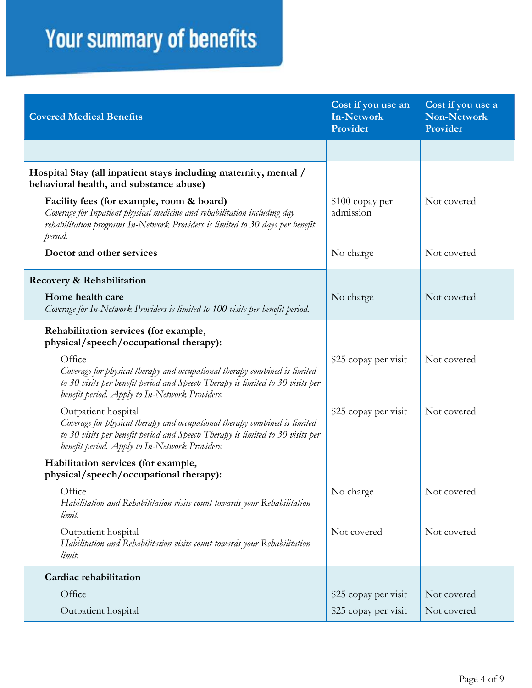| <b>Covered Medical Benefits</b>                                                                                                                                                                                                       | Cost if you use an<br><b>In-Network</b><br>Provider | Cost if you use a<br><b>Non-Network</b><br>Provider |
|---------------------------------------------------------------------------------------------------------------------------------------------------------------------------------------------------------------------------------------|-----------------------------------------------------|-----------------------------------------------------|
|                                                                                                                                                                                                                                       |                                                     |                                                     |
| Hospital Stay (all inpatient stays including maternity, mental /<br>behavioral health, and substance abuse)                                                                                                                           |                                                     |                                                     |
| Facility fees (for example, room & board)<br>Coverage for Inpatient physical medicine and rehabilitation including day<br>rehabilitation programs In-Network Providers is limited to 30 days per benefit<br>period.                   | \$100 copay per<br>admission                        | Not covered                                         |
| Doctor and other services                                                                                                                                                                                                             | No charge                                           | Not covered                                         |
| Recovery & Rehabilitation                                                                                                                                                                                                             |                                                     |                                                     |
| Home health care<br>Coverage for In-Network Providers is limited to 100 visits per benefit period.                                                                                                                                    | No charge                                           | Not covered                                         |
| Rehabilitation services (for example,<br>physical/speech/occupational therapy):                                                                                                                                                       |                                                     |                                                     |
| Office<br>Coverage for physical therapy and occupational therapy combined is limited<br>to 30 visits per benefit period and Speech Therapy is limited to 30 visits per<br>benefit period. Apply to In-Network Providers.              | \$25 copay per visit                                | Not covered                                         |
| Outpatient hospital<br>Coverage for physical therapy and occupational therapy combined is limited<br>to 30 visits per benefit period and Speech Therapy is limited to 30 visits per<br>benefit period. Apply to In-Network Providers. | \$25 copay per visit                                | Not covered                                         |
| Habilitation services (for example,<br>physical/speech/occupational therapy):                                                                                                                                                         |                                                     |                                                     |
| Office<br>Habilitation and Rehabilitation visits count towards your Rehabilitation<br>limit.                                                                                                                                          | No charge                                           | Not covered                                         |
| Outpatient hospital<br>Habilitation and Rehabilitation visits count towards your Rehabilitation<br>limit.                                                                                                                             | Not covered                                         | Not covered                                         |
| Cardiac rehabilitation                                                                                                                                                                                                                |                                                     |                                                     |
| Office                                                                                                                                                                                                                                | \$25 copay per visit                                | Not covered                                         |
| Outpatient hospital                                                                                                                                                                                                                   | \$25 copay per visit                                | Not covered                                         |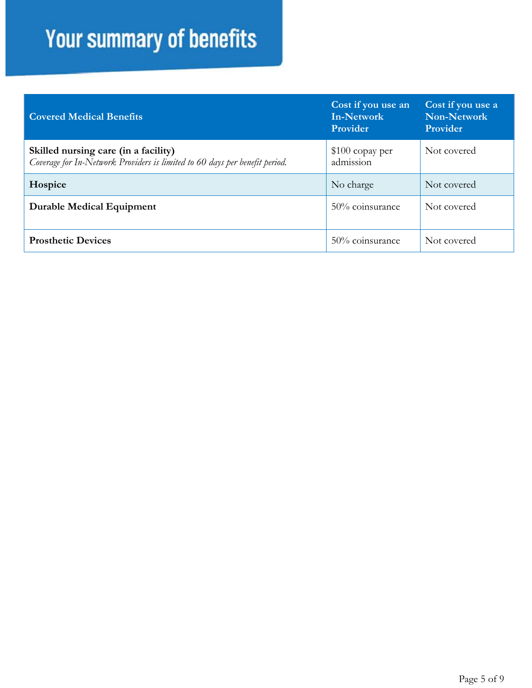| <b>Covered Medical Benefits</b>                                                                                     | Cost if you use an<br>In-Network<br>Provider | Cost if you use a<br>Non-Network<br>Provider |
|---------------------------------------------------------------------------------------------------------------------|----------------------------------------------|----------------------------------------------|
| Skilled nursing care (in a facility)<br>Coverage for In-Network Providers is limited to 60 days per benefit period. | $$100$ copay per<br>admission                | Not covered                                  |
| Hospice                                                                                                             | No charge                                    | Not covered                                  |
| <b>Durable Medical Equipment</b>                                                                                    | 50% coinsurance                              | Not covered                                  |
| <b>Prosthetic Devices</b>                                                                                           | $50\%$ coinsurance                           | Not covered                                  |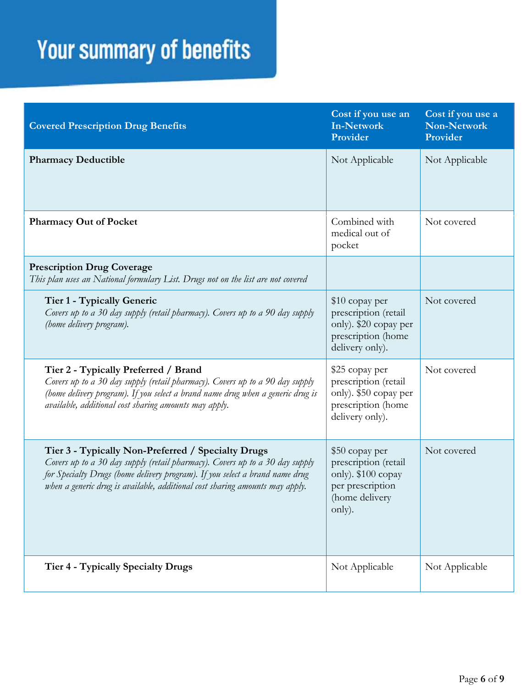| <b>Covered Prescription Drug Benefits</b>                                                                                                                                                                                                                                                          | Cost if you use an<br><b>In-Network</b><br>Provider                                                          | Cost if you use a<br><b>Non-Network</b><br>Provider |
|----------------------------------------------------------------------------------------------------------------------------------------------------------------------------------------------------------------------------------------------------------------------------------------------------|--------------------------------------------------------------------------------------------------------------|-----------------------------------------------------|
| <b>Pharmacy Deductible</b>                                                                                                                                                                                                                                                                         | Not Applicable                                                                                               | Not Applicable                                      |
| <b>Pharmacy Out of Pocket</b>                                                                                                                                                                                                                                                                      | Combined with<br>medical out of<br>pocket                                                                    | Not covered                                         |
| <b>Prescription Drug Coverage</b><br>This plan uses an National formulary List. Drugs not on the list are not covered                                                                                                                                                                              |                                                                                                              |                                                     |
| Tier 1 - Typically Generic<br>Covers up to a 30 day supply (retail pharmacy). Covers up to a 90 day supply<br>(home delivery program).                                                                                                                                                             | \$10 copay per<br>prescription (retail<br>only). \$20 copay per<br>prescription (home<br>delivery only).     | Not covered                                         |
| Tier 2 - Typically Preferred / Brand<br>Covers up to a 30 day supply (retail pharmacy). Covers up to a 90 day supply<br>(home delivery program). If you select a brand name drug when a generic drug is<br>available, additional cost sharing amounts may apply.                                   | \$25 copay per<br>prescription (retail<br>only). \$50 copay per<br>prescription (home<br>delivery only).     | Not covered                                         |
| Tier 3 - Typically Non-Preferred / Specialty Drugs<br>Covers up to a 30 day supply (retail pharmacy). Covers up to a 30 day supply<br>for Specialty Drugs (home delivery program). If you select a brand name drug<br>when a generic drug is available, additional cost sharing amounts may apply. | \$50 copay per<br>prescription (retail<br>only). \$100 copay<br>per prescription<br>(home delivery<br>only). | Not covered                                         |
| <b>Tier 4 - Typically Specialty Drugs</b>                                                                                                                                                                                                                                                          | Not Applicable                                                                                               | Not Applicable                                      |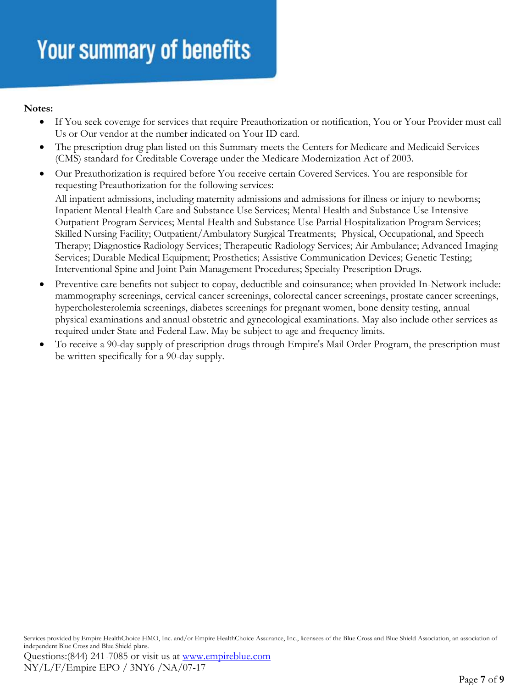#### **Notes:**

- If You seek coverage for services that require Preauthorization or notification, You or Your Provider must call Us or Our vendor at the number indicated on Your ID card.
- The prescription drug plan listed on this Summary meets the Centers for Medicare and Medicaid Services (CMS) standard for Creditable Coverage under the Medicare Modernization Act of 2003.
- Our Preauthorization is required before You receive certain Covered Services. You are responsible for requesting Preauthorization for the following services:

All inpatient admissions, including maternity admissions and admissions for illness or injury to newborns; Inpatient Mental Health Care and Substance Use Services; Mental Health and Substance Use Intensive Outpatient Program Services; Mental Health and Substance Use Partial Hospitalization Program Services; Skilled Nursing Facility; Outpatient/Ambulatory Surgical Treatments; Physical, Occupational, and Speech Therapy; Diagnostics Radiology Services; Therapeutic Radiology Services; Air Ambulance; Advanced Imaging Services; Durable Medical Equipment; Prosthetics; Assistive Communication Devices; Genetic Testing; Interventional Spine and Joint Pain Management Procedures; Specialty Prescription Drugs.

- Preventive care benefits not subject to copay, deductible and coinsurance; when provided In-Network include: mammography screenings, cervical cancer screenings, colorectal cancer screenings, prostate cancer screenings, hypercholesterolemia screenings, diabetes screenings for pregnant women, bone density testing, annual physical examinations and annual obstetric and gynecological examinations. May also include other services as required under State and Federal Law. May be subject to age and frequency limits.
- To receive a 90-day supply of prescription drugs through Empire's Mail Order Program, the prescription must be written specifically for a 90-day supply.

Services provided by Empire HealthChoice HMO, Inc. and/or Empire HealthChoice Assurance, Inc., licensees of the Blue Cross and Blue Shield Association, an association of independent Blue Cross and Blue Shield plans.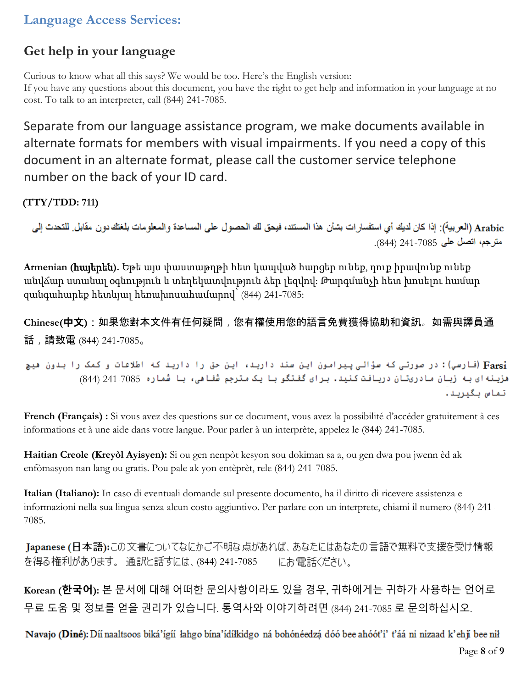### **Language Access Services:**

## **Get help in your language**

Curious to know what all this says? We would be too. Here's the English version: If you have any questions about this document, you have the right to get help and information in your language at no cost. To talk to an interpreter, call (844) 241-7085.

Separate from our language assistance program, we make documents available in alternate formats for members with visual impairments. If you need a copy of this document in an alternate format, please call the customer service telephone number on the back of your ID card.

**(TTY/TDD: 711)** 

Arabic (العربية): إذا كان لديك أي استفسار إت بشأن هذا المستند، فيحق لك الحصول على المساعدة والمعلومات بلغتك دون مقابل للتحدث إلى .(844) 241-7085

**Armenian (**հայերեն**).** Եթե այս փաստաթղթի հետ կապված հարցեր ունեք, դուք իրավունք ունեք անվճար ստանալ օգնություն և տեղեկատվություն ձեր լեզվով: Թարգմանչի հետ խոսելու համար զանգահարեք հետևյալ հեռախոսահամարով՝ (844) 241-7085:

**Chinese(**中文**)**:如果您對本文件有任何疑問,您有權使用您的語言免費獲得協助和資訊。如需與譯員通 話,請致電 (844) 241-7085。

Farsi) (فارسي): در صورتی که سؤالی پیرامون این سند دارید، این حق را دارید که اطلاعات و کمک را بدون هیچ هزينه اي به زبان مادريتان دريافت كنيد. براي گفتگو با يک مترجم شُفاهي، با شماره 241-7085 (844) تماس بگيريد.

**French (Français) :** Si vous avez des questions sur ce document, vous avez la possibilité d'accéder gratuitement à ces informations et à une aide dans votre langue. Pour parler à un interprète, appelez le (844) 241-7085.

**Haitian Creole (Kreyòl Ayisyen):** Si ou gen nenpòt kesyon sou dokiman sa a, ou gen dwa pou jwenn èd ak enfòmasyon nan lang ou gratis. Pou pale ak yon entèprèt, rele (844) 241-7085.

**Italian (Italiano):** In caso di eventuali domande sul presente documento, ha il diritto di ricevere assistenza e informazioni nella sua lingua senza alcun costo aggiuntivo. Per parlare con un interprete, chiami il numero (844) 241- 7085.

Japanese (日本語):この文書についてなにかご不明な点があれば、あなたにはあなたの言語で無料で支援を受け情報 を得る権利があります。 通訳と話すには、(844) 241-7085 にお電話ください。

**Korean (한국어):** 본 문서에 대해 어떠한 문의사항이라도 있을 경우, 귀하에게는 귀하가 사용하는 언어로 무료 도움 및 정보를 얻을 권리가 있습니다. 통역사와 이야기하려면 (844) 241-7085 로 문의하십시오.

Navajo (Diné): Díí naaltsoos biká'ígíí lahgo bína'ídílkidgo ná bohónéedzá dóó bee ahóót'i' t'áá ni nizaad k'ehji bee nil